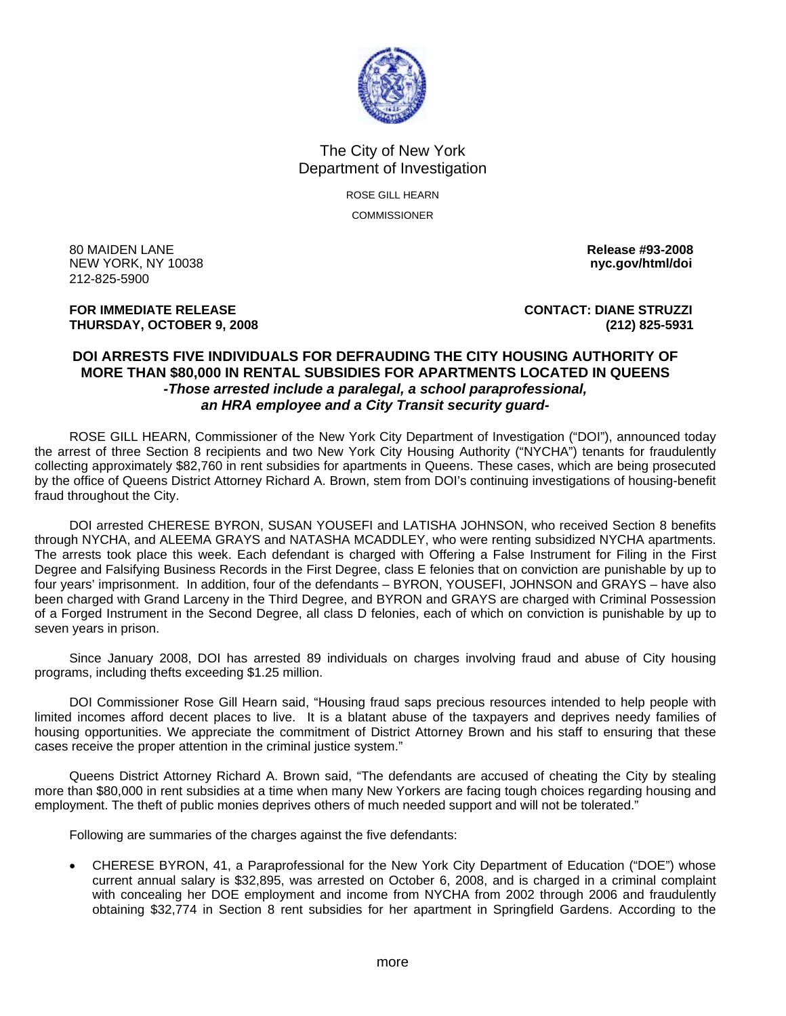

## The City of New York Department of Investigation

ROSE GILL HEARN **COMMISSIONER** 

80 MAIDEN LANE **Release #93-2008 NEW YORK, NY 10038** 212-825-5900

**THURSDAY, OCTOBER 9, 2008 (212) 825-5931**

**FOR IMMEDIATE RELEASE CONTACT: DIANE STRUZZI** 

## **DOI ARRESTS FIVE INDIVIDUALS FOR DEFRAUDING THE CITY HOUSING AUTHORITY OF MORE THAN \$80,000 IN RENTAL SUBSIDIES FOR APARTMENTS LOCATED IN QUEENS**  *-Those arrested include a paralegal, a school paraprofessional, an HRA employee and a City Transit security guard-*

ROSE GILL HEARN, Commissioner of the New York City Department of Investigation ("DOI"), announced today the arrest of three Section 8 recipients and two New York City Housing Authority ("NYCHA") tenants for fraudulently collecting approximately \$82,760 in rent subsidies for apartments in Queens. These cases, which are being prosecuted by the office of Queens District Attorney Richard A. Brown, stem from DOI's continuing investigations of housing-benefit fraud throughout the City.

 DOI arrested CHERESE BYRON, SUSAN YOUSEFI and LATISHA JOHNSON, who received Section 8 benefits through NYCHA, and ALEEMA GRAYS and NATASHA MCADDLEY, who were renting subsidized NYCHA apartments. The arrests took place this week. Each defendant is charged with Offering a False Instrument for Filing in the First Degree and Falsifying Business Records in the First Degree, class E felonies that on conviction are punishable by up to four years' imprisonment. In addition, four of the defendants – BYRON, YOUSEFI, JOHNSON and GRAYS – have also been charged with Grand Larceny in the Third Degree, and BYRON and GRAYS are charged with Criminal Possession of a Forged Instrument in the Second Degree, all class D felonies, each of which on conviction is punishable by up to seven years in prison.

 Since January 2008, DOI has arrested 89 individuals on charges involving fraud and abuse of City housing programs, including thefts exceeding \$1.25 million.

 DOI Commissioner Rose Gill Hearn said, "Housing fraud saps precious resources intended to help people with limited incomes afford decent places to live. It is a blatant abuse of the taxpayers and deprives needy families of housing opportunities. We appreciate the commitment of District Attorney Brown and his staff to ensuring that these cases receive the proper attention in the criminal justice system."

 Queens District Attorney Richard A. Brown said, "The defendants are accused of cheating the City by stealing more than \$80,000 in rent subsidies at a time when many New Yorkers are facing tough choices regarding housing and employment. The theft of public monies deprives others of much needed support and will not be tolerated."

Following are summaries of the charges against the five defendants:

• CHERESE BYRON, 41, a Paraprofessional for the New York City Department of Education ("DOE") whose current annual salary is \$32,895, was arrested on October 6, 2008, and is charged in a criminal complaint with concealing her DOE employment and income from NYCHA from 2002 through 2006 and fraudulently obtaining \$32,774 in Section 8 rent subsidies for her apartment in Springfield Gardens. According to the